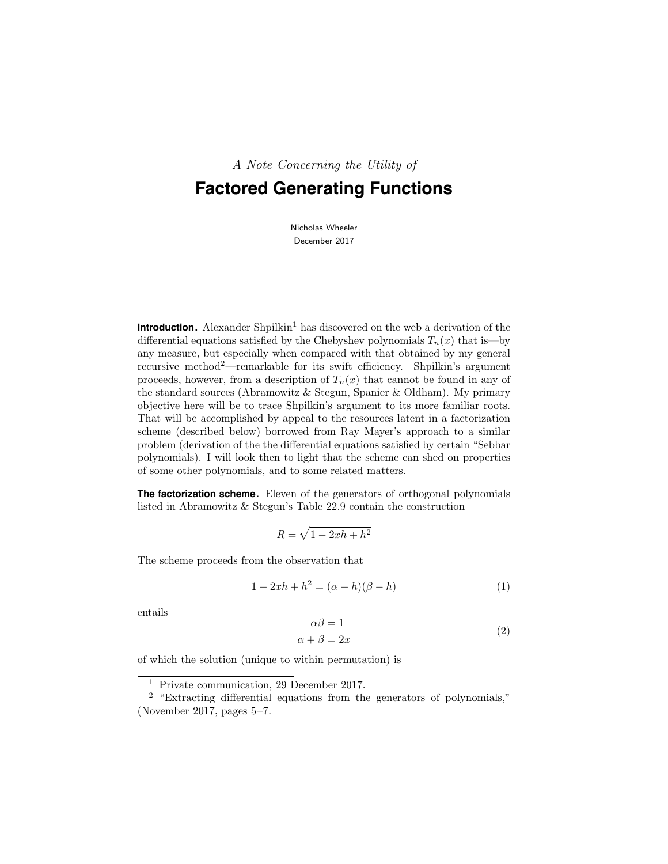A Note Concerning the Utility of

# **Factored Generating Functions**

Nicholas Wheeler December 2017

**Introduction.** Alexander Shpilkin<sup>1</sup> has discovered on the web a derivation of the differential equations satisfied by the Chebyshev polynomials  $T_n(x)$  that is—by any measure, but especially when compared with that obtained by my general recursive method<sup>2</sup>—remarkable for its swift efficiency. Shpilkin's argument proceeds, however, from a description of  $T_n(x)$  that cannot be found in any of the standard sources (Abramowitz & Stegun, Spanier & Oldham). My primary objective here will be to trace Shpilkin's argument to its more familiar roots. That will be accomplished by appeal to the resources latent in a factorization scheme (described below) borrowed from Ray Mayer's approach to a similar problem (derivation of the the differential equations satisfied by certain "Sebbar polynomials). I will look then to light that the scheme can shed on properties of some other polynomials, and to some related matters.

**The factorization scheme.** Eleven of the generators of orthogonal polynomials listed in Abramowitz & Stegun's Table 22.9 contain the construction

$$
R = \sqrt{1 - 2xh + h^2}
$$

The scheme proceeds from the observation that

$$
1 - 2xh + h^{2} = (\alpha - h)(\beta - h)
$$
 (1)

entails

$$
\alpha \beta = 1
$$
  
\n
$$
\alpha + \beta = 2x
$$
\n(2)

of which the solution (unique to within permutation) is

<sup>&</sup>lt;sup>1</sup> Private communication, 29 December 2017.

<sup>&</sup>lt;sup>2</sup> "Extracting differential equations from the generators of polynomials," (November 2017, pages 5–7.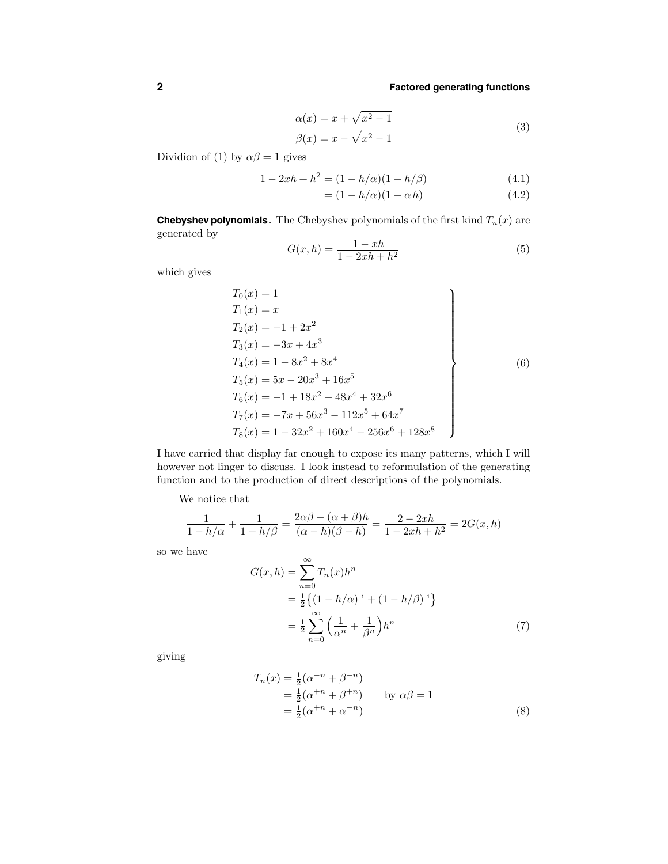$$
\alpha(x) = x + \sqrt{x^2 - 1}
$$
  

$$
\beta(x) = x - \sqrt{x^2 - 1}
$$
 (3)

Dividion of (1) by  $\alpha\beta = 1$  gives

$$
1 - 2xh + h^{2} = (1 - h/\alpha)(1 - h/\beta)
$$
\n(4.1)

$$
= (1 - h/\alpha)(1 - \alpha h) \tag{4.2}
$$

**Chebyshev polynomials.** The Chebyshev polynomials of the first kind  $T_n(x)$  are generated by

$$
G(x,h) = \frac{1 - xh}{1 - 2xh + h^2}
$$
 (5)

which gives

$$
T_0(x) = 1
$$
  
\n
$$
T_1(x) = x
$$
  
\n
$$
T_2(x) = -1 + 2x^2
$$
  
\n
$$
T_3(x) = -3x + 4x^3
$$
  
\n
$$
T_4(x) = 1 - 8x^2 + 8x^4
$$
  
\n
$$
T_5(x) = 5x - 20x^3 + 16x^5
$$
  
\n
$$
T_6(x) = -1 + 18x^2 - 48x^4 + 32x^6
$$
  
\n
$$
T_7(x) = -7x + 56x^3 - 112x^5 + 64x^7
$$
  
\n
$$
T_8(x) = 1 - 32x^2 + 160x^4 - 256x^6 + 128x^8
$$
 (6)

I have carried that display far enough to expose its many patterns, which I will however not linger to discuss. I look instead to reformulation of the generating function and to the production of direct descriptions of the polynomials.

We notice that

$$
\frac{1}{1-h/\alpha} + \frac{1}{1-h/\beta} = \frac{2\alpha\beta - (\alpha+\beta)h}{(\alpha-h)(\beta-h)} = \frac{2-2xh}{1-2xh+h^2} = 2G(x,h)
$$

so we have

$$
G(x,h) = \sum_{n=0}^{\infty} T_n(x)h^n
$$
  
=  $\frac{1}{2}$  { $(1 - h/\alpha)^{-1}$  +  $(1 - h/\beta)^{-1}$ }  
=  $\frac{1}{2} \sum_{n=0}^{\infty} \left(\frac{1}{\alpha^n} + \frac{1}{\beta^n}\right)h^n$  (7)

giving

$$
T_n(x) = \frac{1}{2}(\alpha^{-n} + \beta^{-n})
$$
  
=  $\frac{1}{2}(\alpha^{+n} + \beta^{+n})$  by  $\alpha\beta = 1$   
=  $\frac{1}{2}(\alpha^{+n} + \alpha^{-n})$  (8)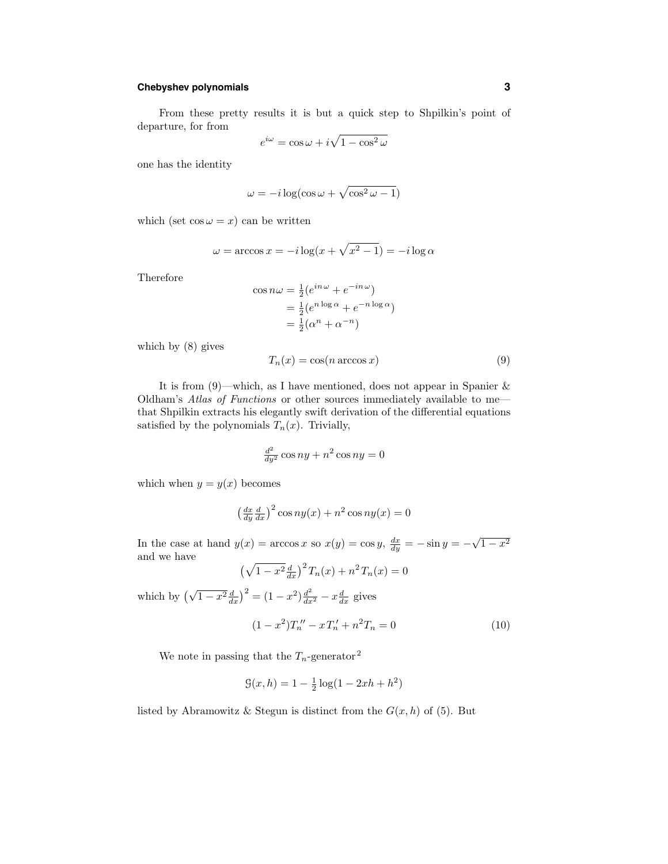# **Chebyshev polynomials 3**

From these pretty results it is but a quick step to Shpilkin's point of departure, for from

$$
e^{i\omega} = \cos\omega + i\sqrt{1 - \cos^2\omega}
$$

one has the identity

$$
\omega = -i\log(\cos\omega + \sqrt{\cos^2\omega - 1})
$$

which (set  $\cos \omega = x$ ) can be written

$$
\omega = \arccos x = -i \log(x + \sqrt{x^2 - 1}) = -i \log \alpha
$$

Therefore

$$
\cos n\omega = \frac{1}{2}(e^{in\omega} + e^{-in\omega})
$$
  
=  $\frac{1}{2}(e^{n\log\alpha} + e^{-n\log\alpha})$   
=  $\frac{1}{2}(\alpha^n + \alpha^{-n})$ 

which by (8) gives

$$
T_n(x) = \cos(n \arccos x) \tag{9}
$$

It is from  $(9)$ —which, as I have mentioned, does not appear in Spanier & Oldham's Atlas of Functions or other sources immediately available to me that Shpilkin extracts his elegantly swift derivation of the differential equations satisfied by the polynomials  $T_n(x)$ . Trivially,

$$
\frac{d^2}{dy^2}\cos ny + n^2\cos ny = 0
$$

which when  $y = y(x)$  becomes

$$
\left(\frac{dx}{dy}\frac{d}{dx}\right)^2 \cos ny(x) + n^2 \cos ny(x) = 0
$$

In the case at hand  $y(x) = \arccos x$  so  $x(y) = \cos y$ ,  $\frac{dx}{dy} = -\sin y = -\sqrt{1 - x^2}$ and we have

$$
(\sqrt{1-x^2}\frac{d}{dx})^2 T_n(x) + n^2 T_n(x) = 0
$$
  
which by 
$$
(\sqrt{1-x^2}\frac{d}{dx})^2 = (1-x^2)\frac{d^2}{dx^2} - x\frac{d}{dx}
$$
 gives

$$
(1 - x2)Tn'' - xTn' + n2Tn = 0
$$
\n(10)

We note in passing that the  $T_n$ -generator<sup>2</sup>

$$
\mathcal{G}(x,h) = 1 - \frac{1}{2}\log(1 - 2xh + h^2)
$$

listed by Abramowitz & Stegun is distinct from the  $G(x, h)$  of (5). But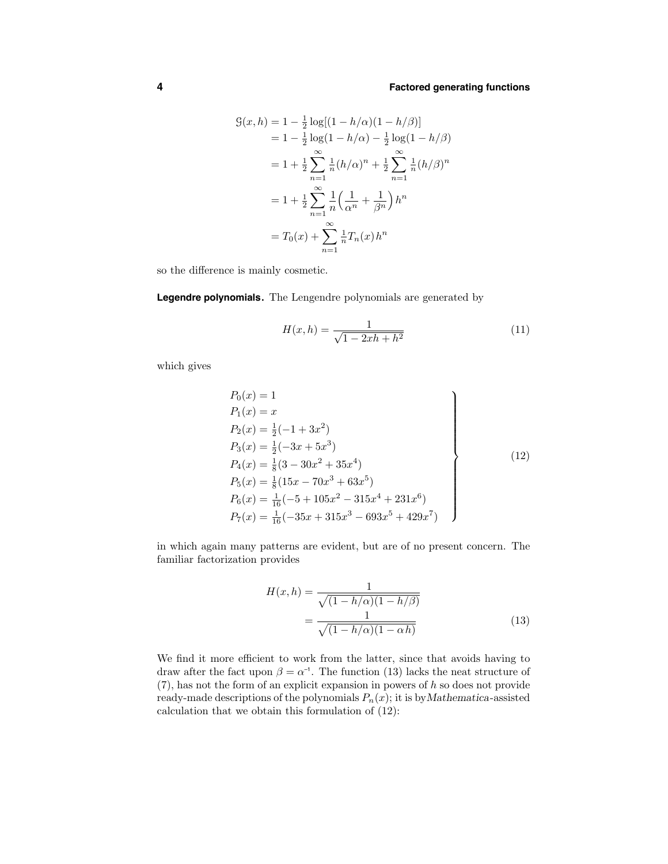$$
G(x, h) = 1 - \frac{1}{2} \log[(1 - h/\alpha)(1 - h/\beta)]
$$
  
= 1 - \frac{1}{2} \log(1 - h/\alpha) - \frac{1}{2} \log(1 - h/\beta)  
= 1 + \frac{1}{2} \sum\_{n=1}^{\infty} \frac{1}{n} (h/\alpha)^n + \frac{1}{2} \sum\_{n=1}^{\infty} \frac{1}{n} (h/\beta)^n  
= 1 + \frac{1}{2} \sum\_{n=1}^{\infty} \frac{1}{n} \left(\frac{1}{\alpha^n} + \frac{1}{\beta^n}\right) h^n  
= T\_0(x) + \sum\_{n=1}^{\infty} \frac{1}{n} T\_n(x) h^n

so the difference is mainly cosmetic.

**Legendre polynomials.** The Lengendre polynomials are generated by

$$
H(x,h) = \frac{1}{\sqrt{1 - 2xh + h^2}}
$$
\n(11)

which gives

$$
P_0(x) = 1
$$
  
\n
$$
P_1(x) = x
$$
  
\n
$$
P_2(x) = \frac{1}{2}(-1 + 3x^2)
$$
  
\n
$$
P_3(x) = \frac{1}{2}(-3x + 5x^3)
$$
  
\n
$$
P_4(x) = \frac{1}{8}(3 - 30x^2 + 35x^4)
$$
  
\n
$$
P_5(x) = \frac{1}{8}(15x - 70x^3 + 63x^5)
$$
  
\n
$$
P_6(x) = \frac{1}{16}(-5 + 105x^2 - 315x^4 + 231x^6)
$$
  
\n
$$
P_7(x) = \frac{1}{16}(-35x + 315x^3 - 693x^5 + 429x^7)
$$
\n(12)

in which again many patterns are evident, but are of no present concern. The familiar factorization provides

$$
H(x,h) = \frac{1}{\sqrt{(1-h/\alpha)(1-h/\beta)}}
$$

$$
= \frac{1}{\sqrt{(1-h/\alpha)(1-\alpha h)}}
$$
(13)

We find it more efficient to work from the latter, since that avoids having to draw after the fact upon  $\beta = \alpha^{-1}$ . The function (13) lacks the neat structure of  $(7)$ , has not the form of an explicit expansion in powers of h so does not provide ready-made descriptions of the polynomials  $P_n(x)$ ; it is by Mathematica-assisted calculation that we obtain this formulation of (12):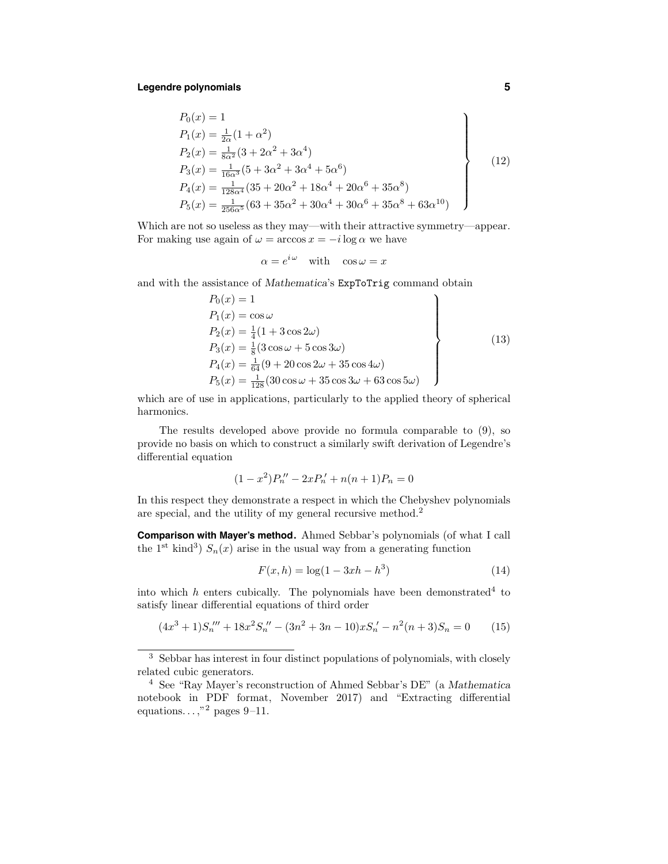## **Legendre polynomials 5**

$$
P_0(x) = 1
$$
  
\n
$$
P_1(x) = \frac{1}{2\alpha}(1 + \alpha^2)
$$
  
\n
$$
P_2(x) = \frac{1}{8\alpha^2}(3 + 2\alpha^2 + 3\alpha^4)
$$
  
\n
$$
P_3(x) = \frac{1}{16\alpha^3}(5 + 3\alpha^2 + 3\alpha^4 + 5\alpha^6)
$$
  
\n
$$
P_4(x) = \frac{1}{128\alpha^4}(35 + 20\alpha^2 + 18\alpha^4 + 20\alpha^6 + 35\alpha^8)
$$
  
\n
$$
P_5(x) = \frac{1}{256\alpha^5}(63 + 35\alpha^2 + 30\alpha^4 + 30\alpha^6 + 35\alpha^8 + 63\alpha^{10})
$$
\n(12)

Which are not so useless as they may—with their attractive symmetry—appear. For making use again of  $\omega = \arccos x = -i \log \alpha$  we have

$$
\alpha = e^{i\omega} \quad \text{with} \quad \cos \omega = x
$$

and with the assistance of Mathematica's ExpToTrig command obtain

$$
P_0(x) = 1
$$
  
\n
$$
P_1(x) = \cos \omega
$$
  
\n
$$
P_2(x) = \frac{1}{4}(1 + 3\cos 2\omega)
$$
  
\n
$$
P_3(x) = \frac{1}{8}(3\cos \omega + 5\cos 3\omega)
$$
  
\n
$$
P_4(x) = \frac{1}{64}(9 + 20\cos 2\omega + 35\cos 4\omega)
$$
  
\n
$$
P_5(x) = \frac{1}{128}(30\cos \omega + 35\cos 3\omega + 63\cos 5\omega)
$$
\n(13)

which are of use in applications, particularly to the applied theory of spherical harmonics.

The results developed above provide no formula comparable to (9), so provide no basis on which to construct a similarly swift derivation of Legendre's differential equation

$$
(1 - x2)P''n - 2xP'n + n(n + 1)Pn = 0
$$

In this respect they demonstrate a respect in which the Chebyshev polynomials are special, and the utility of my general recursive method.<sup>2</sup>

**Comparison with Mayer's method.** Ahmed Sebbar's polynomials (of what I call the 1<sup>st</sup> kind<sup>3</sup>)  $S_n(x)$  arise in the usual way from a generating function

$$
F(x, h) = \log(1 - 3xh - h^3)
$$
\n(14)

into which  $h$  enters cubically. The polynomials have been demonstrated<sup>4</sup> to satisfy linear differential equations of third order

$$
(4x3 + 1)S'n''' + 18x2S'n'' - (3n2 + 3n - 10)xS'n - n2(n + 3)Sn = 0
$$
 (15)

<sup>3</sup> Sebbar has interest in four distinct populations of polynomials, with closely related cubic generators.

<sup>4</sup> See "Ray Mayer's reconstruction of Ahmed Sebbar's DE" (a Mathematica notebook in PDF format, November 2017) and "Extracting differential equations.  $\ldots$ ,"<sup>2</sup> pages 9–11.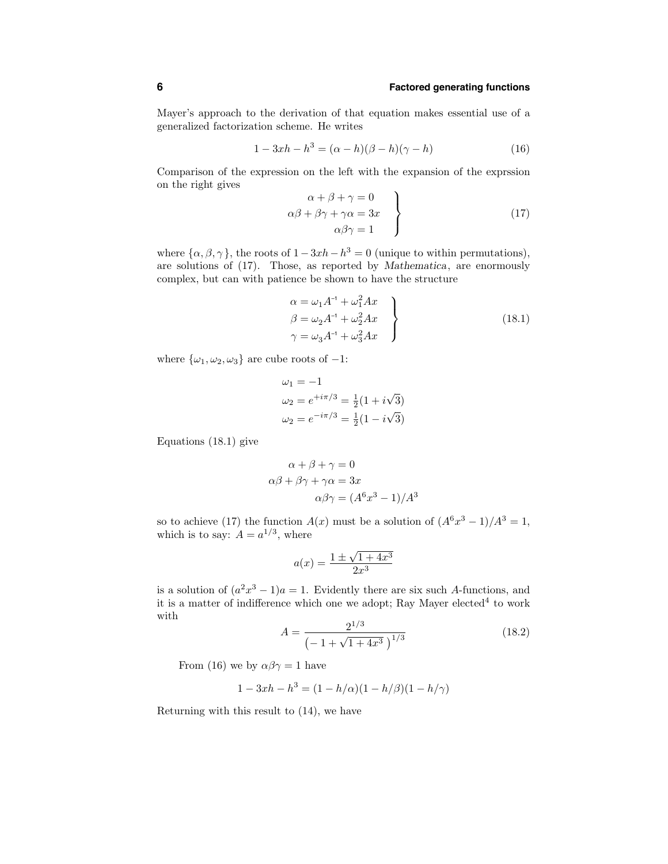Mayer's approach to the derivation of that equation makes essential use of a generalized factorization scheme. He writes

$$
1 - 3xh - h^{3} = (\alpha - h)(\beta - h)(\gamma - h)
$$
\n(16)

Comparison of the expression on the left with the expansion of the exprssion on the right gives

$$
\alpha + \beta + \gamma = 0
$$
  
\n
$$
\alpha\beta + \beta\gamma + \gamma\alpha = 3x
$$
  
\n
$$
\alpha\beta\gamma = 1
$$
\n(17)

where  $\{\alpha, \beta, \gamma\}$ , the roots of  $1-3xh-h^3=0$  (unique to within permutations), are solutions of (17). Those, as reported by Mathematica, are enormously complex, but can with patience be shown to have the structure

$$
\alpha = \omega_1 A^{-1} + \omega_1^2 A x
$$
  
\n
$$
\beta = \omega_2 A^{-1} + \omega_2^2 A x
$$
  
\n
$$
\gamma = \omega_3 A^{-1} + \omega_3^2 A x
$$
\n(18.1)

where  $\{\omega_1, \omega_2, \omega_3\}$  are cube roots of  $-1$ :

$$
\omega_1 = -1
$$
  
\n
$$
\omega_2 = e^{+i\pi/3} = \frac{1}{2}(1 + i\sqrt{3})
$$
  
\n
$$
\omega_2 = e^{-i\pi/3} = \frac{1}{2}(1 - i\sqrt{3})
$$

Equations (18.1) give

$$
\alpha + \beta + \gamma = 0
$$
  

$$
\alpha\beta + \beta\gamma + \gamma\alpha = 3x
$$
  

$$
\alpha\beta\gamma = (A^6x^3 - 1)/A^3
$$

so to achieve (17) the function  $A(x)$  must be a solution of  $(A<sup>6</sup>x<sup>3</sup> - 1)/A<sup>3</sup> = 1$ , which is to say:  $A = a^{1/3}$ , where

$$
a(x) = \frac{1 \pm \sqrt{1 + 4x^3}}{2x^3}
$$

is a solution of  $(a^2x^3 - 1)a = 1$ . Evidently there are six such A-functions, and it is a matter of indifference which one we adopt; Ray Mayer elected<sup>4</sup> to work with

$$
A = \frac{2^{1/3}}{\left(-1 + \sqrt{1 + 4x^3}\right)^{1/3}}\tag{18.2}
$$

From (16) we by  $\alpha\beta\gamma=1$  have

$$
1 - 3xh - h^{3} = (1 - h/\alpha)(1 - h/\beta)(1 - h/\gamma)
$$

Returning with this result to (14), we have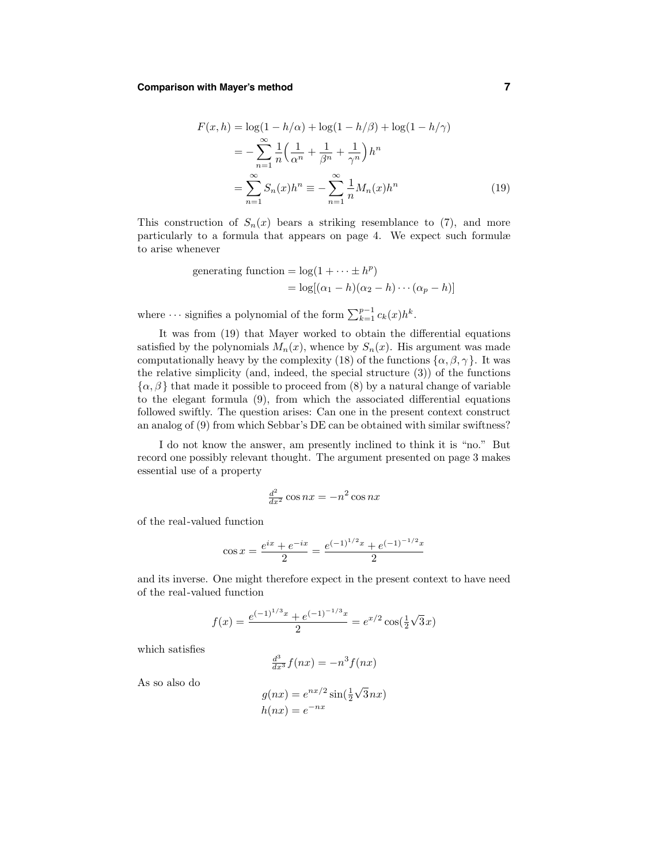## **Comparison with Mayer's method 7**

$$
F(x, h) = \log(1 - h/\alpha) + \log(1 - h/\beta) + \log(1 - h/\gamma)
$$
  
= 
$$
-\sum_{n=1}^{\infty} \frac{1}{n} \left(\frac{1}{\alpha^n} + \frac{1}{\beta^n} + \frac{1}{\gamma^n}\right) h^n
$$
  
= 
$$
\sum_{n=1}^{\infty} S_n(x) h^n \equiv -\sum_{n=1}^{\infty} \frac{1}{n} M_n(x) h^n
$$
 (19)

This construction of  $S_n(x)$  bears a striking resemblance to (7), and more particularly to a formula that appears on page 4. We expect such formulæ to arise whenever

generating function = 
$$
\log(1 + \cdots \pm h^p)
$$
  
=  $\log[(\alpha_1 - h)(\alpha_2 - h) \cdots (\alpha_p - h)]$ 

where  $\cdots$  signifies a polynomial of the form  $\sum_{k=1}^{p-1} c_k(x)h^k$ .

It was from (19) that Mayer worked to obtain the differential equations satisfied by the polynomials  $M_n(x)$ , whence by  $S_n(x)$ . His argument was made computationally heavy by the complexity (18) of the functions  $\{\alpha, \beta, \gamma\}$ . It was the relative simplicity (and, indeed, the special structure (3)) of the functions  $\{\alpha,\beta\}$  that made it possible to proceed from (8) by a natural change of variable to the elegant formula (9), from which the associated differential equations followed swiftly. The question arises: Can one in the present context construct an analog of (9) from which Sebbar's DE can be obtained with similar swiftness?

I do not know the answer, am presently inclined to think it is "no." But record one possibly relevant thought. The argument presented on page 3 makes essential use of a property

$$
\frac{d^2}{dx^2}\cos nx = -n^2\cos nx
$$

of the real-valued function

$$
\cos x = \frac{e^{ix} + e^{-ix}}{2} = \frac{e^{(-1)^{1/2}x} + e^{(-1)^{-1/2}x}}{2}
$$

and its inverse. One might therefore expect in the present context to have need of the real-valued function

$$
f(x) = \frac{e^{(-1)^{1/3}x} + e^{(-1)^{-1/3}x}}{2} = e^{x/2} \cos(\frac{1}{2}\sqrt{3}x)
$$

which satisfies

$$
\frac{d^3}{dx^3}f(nx) = -n^3f(nx)
$$

As so also do

$$
g(nx) = e^{nx/2} \sin(\frac{1}{2}\sqrt{3}nx)
$$

$$
h(nx) = e^{-nx}
$$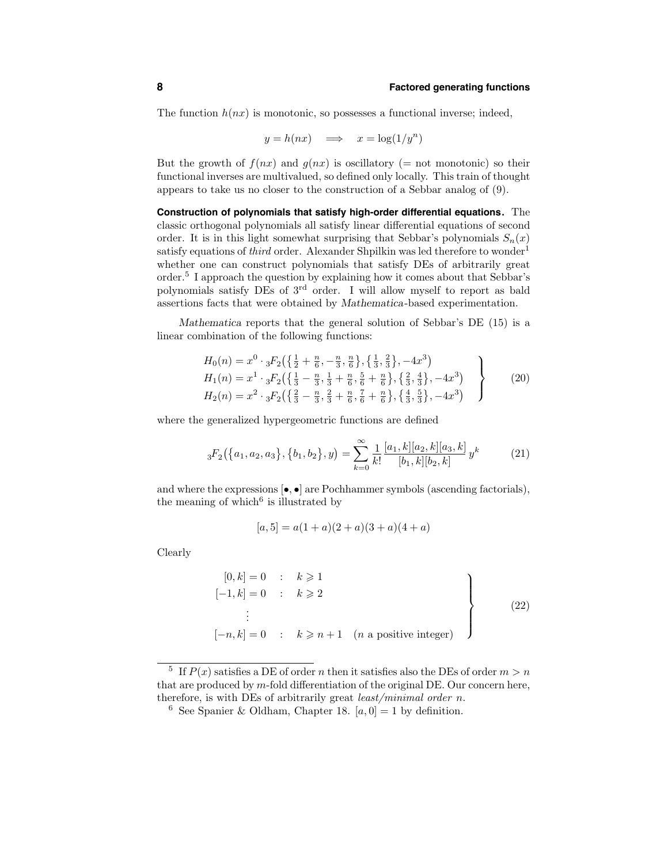The function  $h(nx)$  is monotonic, so possesses a functional inverse; indeed,

$$
y = h(nx) \quad \Longrightarrow \quad x = \log(1/y^n)
$$

But the growth of  $f(nx)$  and  $q(nx)$  is oscillatory (= not monotonic) so their functional inverses are multivalued, so defined only locally. This train of thought appears to take us no closer to the construction of a Sebbar analog of (9).

**Construction of polynomials that satisfy high-order differential equations.** The classic orthogonal polynomials all satisfy linear differential equations of second order. It is in this light somewhat surprising that Sebbar's polynomials  $S_n(x)$ satisfy equations of third order. Alexander Shpilkin was led therefore to wonder<sup>1</sup> whether one can construct polynomials that satisfy DEs of arbitrarily great order.<sup>5</sup> I approach the question by explaining how it comes about that Sebbar's polynomials satisfy DEs of 3rd order. I will allow myself to report as bald assertions facts that were obtained by Mathematica-based experimentation.

Mathematica reports that the general solution of Sebbar's DE (15) is a linear combination of the following functions:

$$
H_0(n) = x^0 \cdot {}_3F_2\left(\left\{\frac{1}{2} + \frac{n}{6}, -\frac{n}{3}, \frac{n}{6}\right\}, \left\{\frac{1}{3}, \frac{2}{3}\right\}, -4x^3\right)
$$
  
\n
$$
H_1(n) = x^1 \cdot {}_3F_2\left(\left\{\frac{1}{3} - \frac{n}{3}, \frac{1}{3} + \frac{n}{6}, \frac{5}{6} + \frac{n}{6}\right\}, \left\{\frac{2}{3}, \frac{4}{3}\right\}, -4x^3\right)
$$
  
\n
$$
H_2(n) = x^2 \cdot {}_3F_2\left(\left\{\frac{2}{3} - \frac{n}{3}, \frac{2}{3} + \frac{n}{6}, \frac{7}{6} + \frac{n}{6}\right\}, \left\{\frac{4}{3}, \frac{5}{3}\right\}, -4x^3\right)
$$
\n(20)

where the generalized hypergeometric functions are defined

$$
{}_{3}F_{2}(\lbrace a_{1}, a_{2}, a_{3}\rbrace, \lbrace b_{1}, b_{2}\rbrace, y) = \sum_{k=0}^{\infty} \frac{1}{k!} \frac{[a_{1}, k][a_{2}, k][a_{3}, k]}{[b_{1}, k][b_{2}, k]} y^{k}
$$
(21)

and where the expressions  $[\bullet, \bullet]$  are Pochhammer symbols (ascending factorials), the meaning of which $6$  is illustrated by

$$
[a,5] = a(1+a)(2+a)(3+a)(4+a)
$$

Clearly

$$
\begin{array}{ccc}\n[0,k] = 0 & : & k \geqslant 1 \\
[-1,k] = 0 & : & k \geqslant 2 \\
\vdots & & \vdots \\
[-n,k] = 0 & : & k \geqslant n+1 \quad (n \text{ a positive integer})\n\end{array}\n\right\}
$$
\n
$$
(22)
$$

 $^5\;$  If  $P(x)$  satisfies a DE of order  $n$  then it satisfies also the DEs of order  $m>n$ that are produced by  $m$ -fold differentiation of the original DE. Our concern here, therefore, is with DEs of arbitrarily great *least/minimal order n*.

<sup>&</sup>lt;sup>6</sup> See Spanier & Oldham, Chapter 18.  $[a, 0] = 1$  by definition.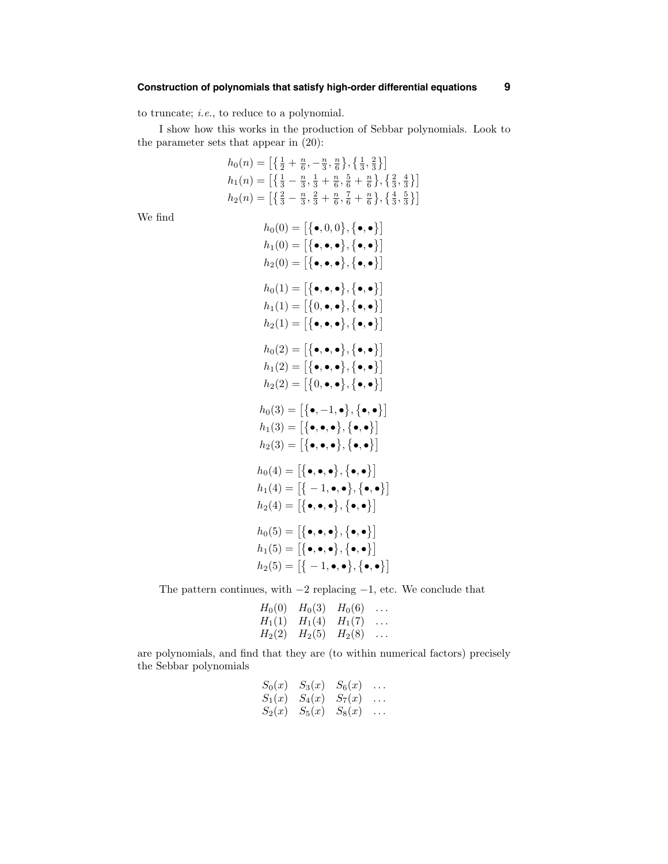to truncate; i.e., to reduce to a polynomial.

I show how this works in the production of Sebbar polynomials. Look to the parameter sets that appear in (20):

$$
h_0(n) = \left[ \left\{ \frac{1}{2} + \frac{n}{6}, -\frac{n}{3}, \frac{n}{6} \right\}, \left\{ \frac{1}{3}, \frac{2}{3} \right\} \right]
$$
  
\n
$$
h_1(n) = \left[ \left\{ \frac{1}{3} - \frac{n}{3}, \frac{1}{3} + \frac{n}{6}, \frac{5}{6} + \frac{n}{6} \right\}, \left\{ \frac{2}{3}, \frac{4}{3} \right\} \right]
$$
  
\n
$$
h_2(n) = \left[ \left\{ \frac{2}{3} - \frac{n}{3}, \frac{2}{3} + \frac{n}{6}, \frac{7}{6} + \frac{n}{6} \right\}, \left\{ \frac{4}{3}, \frac{5}{3} \right\} \right]
$$

We find

$$
h_0(0) = [\{\bullet, 0, 0\}, \{\bullet, \bullet\}]
$$
  
\n
$$
h_1(0) = [\{\bullet, \bullet, \bullet\}, \{\bullet, \bullet\}]
$$
  
\n
$$
h_2(0) = [\{\bullet, \bullet, \bullet\}, \{\bullet, \bullet\}]
$$
  
\n
$$
h_0(1) = [\{\bullet, \bullet, \bullet\}, \{\bullet, \bullet\}]
$$
  
\n
$$
h_1(1) = [\{0, \bullet, \bullet\}, \{\bullet, \bullet\}]
$$
  
\n
$$
h_2(1) = [\{\bullet, \bullet, \bullet\}, \{\bullet, \bullet\}]
$$
  
\n
$$
h_0(2) = [\{\bullet, \bullet, \bullet\}, \{\bullet, \bullet\}]
$$
  
\n
$$
h_1(2) = [\{\bullet, \bullet, \bullet\}, \{\bullet, \bullet\}]
$$
  
\n
$$
h_2(2) = [\{0, \bullet, \bullet\}, \{\bullet, \bullet\}]
$$
  
\n
$$
h_0(3) = [\{\bullet, -1, \bullet\}, \{\bullet, \bullet\}]
$$
  
\n
$$
h_1(3) = [\{\bullet, \bullet, \bullet\}, \{\bullet, \bullet\}]
$$
  
\n
$$
h_2(3) = [\{\bullet, \bullet, \bullet\}, \{\bullet, \bullet\}]
$$
  
\n
$$
h_2(4) = [\{\bullet, \bullet, \bullet\}, \{\bullet, \bullet\}]
$$
  
\n
$$
h_1(4) = [\{-1, \bullet, \bullet\}, \{\bullet, \bullet\}]
$$
  
\n
$$
h_2(4) = [\{\bullet, \bullet, \bullet\}, \{\bullet, \bullet\}]
$$
  
\n
$$
h_1(5) = [\{\bullet, \bullet, \bullet\}, \{\bullet, \bullet\}]
$$
  
\n
$$
h_2(5) = [\{-1, \bullet, \bullet\}, \{\bullet, \bullet\}]
$$

The pattern continues, with  $-2$  replacing  $-1$ , etc. We conclude that

$$
H_0(0) \t H_0(3) \t H_0(6) \t ... \nH_1(1) \t H_1(4) \t H_1(7) \t ... \nH_2(2) \t H_2(5) \t H_2(8) \t ...
$$

are polynomials, and find that they are (to within numerical factors) precisely the Sebbar polynomials

$$
S_0(x)
$$
  $S_3(x)$   $S_6(x)$  ...  
\n $S_1(x)$   $S_4(x)$   $S_7(x)$  ...  
\n $S_2(x)$   $S_5(x)$   $S_8(x)$  ...